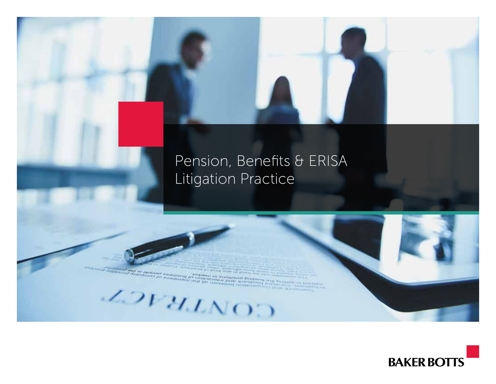## Pension, Benefits & ERISA Litigation Practice

CONTRACT

**BAKER BOTTS**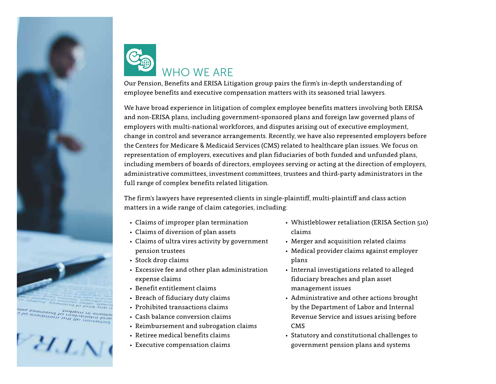

any raid of passenge per<br>sitions in market of business of c<br>and interaction of prembers of c





Our Pension, Benefits and ERISA Litigation group pairs the firm's in‑depth understanding of employee benefits and executive compensation matters with its seasoned trial lawyers.

We have broad experience in litigation of complex employee benefits matters involving both ERISA and non-ERISA plans, including government-sponsored plans and foreign law governed plans of employers with multi-national workforces, and disputes arising out of executive employment, change in control and severance arrangements. Recently, we have also represented employers before the Centers for Medicare & Medicaid Services (CMS) related to healthcare plan issues. We focus on representation of employers, executives and plan fiduciaries of both funded and unfunded plans, including members of boards of directors, employees serving or acting at the direction of employers, administrative committees, investment committees, trustees and third-party administrators in the full range of complex benefits related litigation.

The firm's lawyers have represented clients in single-plaintiff, multi‑plaintiff and class action matters in a wide range of claim categories, including:

- Claims of improper plan termination
- Claims of diversion of plan assets
- Claims of ultra vires activity by government pension trustees
- Stock drop claims
- Excessive fee and other plan administration expense claims
- Benefit entitlement claims
- Breach of fiduciary duty claims
- Prohibited transactions claims
- Cash balance conversion claims
- Reimbursement and subrogation claims
- Retiree medical benefits claims
- Executive compensation claims
- Whistleblower retaliation (ERISA Section 510) claims
- Merger and acquisition related claims
- Medical provider claims against employer plans
- Internal investigations related to alleged fiduciary breaches and plan asset management issues
- Administrative and other actions brought by the Department of Labor and Internal Revenue Service and issues arising before CMS
- Statutory and constitutional challenges to government pension plans and systems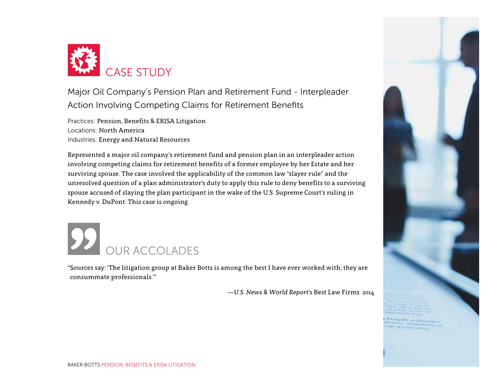

Major Oil Company's Pension Plan and Retirement Fund - Interpleader Action Involving Competing Claims for Retirement Benefits

Practices: Pension, Benefits & ERISA Litigation Locations: North America Industries: Energy and Natural Resources

Represented a major oil company's retirement fund and pension plan in an interpleader action involving competing claims for retirement benefits of a former employee by her Estate and her surviving spouse. The case involved the applicability of the common law "slayer rule" and the unresolved question of a plan administrator's duty to apply this rule to deny benefits to a surviving spouse accused of slaying the plan participant in the wake of the U.S. Supreme Court's ruling in Kennedy v. DuPont. This case is ongoing.

## OUR ACCOLADES

"Sources say: 'The litigation group at Baker Botts is among the best I have ever worked with; they are consummate professionals.'"

—*U.S. News & World Report*'s Best Law Firms 2014



**Builleb** of portions ina anovement<br>Iano a azamend ni